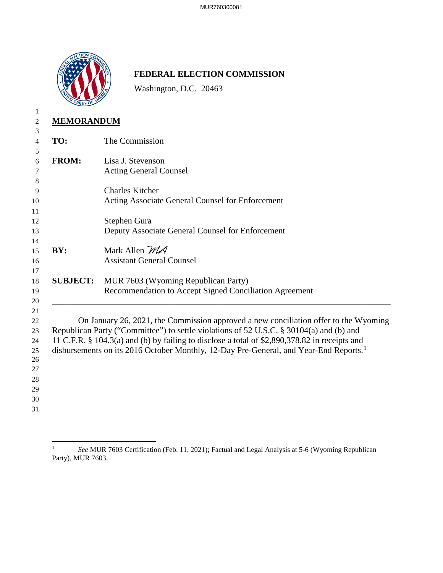

## **FEDERAL ELECTION COMMISSION**

Washington, D.C. 20463

| 1                                                              |                                                                                                                                                                                                                                                                                                                                                                                       |                                                                                               |
|----------------------------------------------------------------|---------------------------------------------------------------------------------------------------------------------------------------------------------------------------------------------------------------------------------------------------------------------------------------------------------------------------------------------------------------------------------------|-----------------------------------------------------------------------------------------------|
| 2                                                              | <b>MEMORANDUM</b>                                                                                                                                                                                                                                                                                                                                                                     |                                                                                               |
| 3<br>$\overline{4}$                                            | TO:                                                                                                                                                                                                                                                                                                                                                                                   | The Commission                                                                                |
| 5<br>6<br>7                                                    | <b>FROM:</b>                                                                                                                                                                                                                                                                                                                                                                          | Lisa J. Stevenson<br><b>Acting General Counsel</b>                                            |
| 8<br>9<br>10<br>11                                             |                                                                                                                                                                                                                                                                                                                                                                                       | <b>Charles Kitcher</b><br>Acting Associate General Counsel for Enforcement                    |
| 12<br>13                                                       |                                                                                                                                                                                                                                                                                                                                                                                       | Stephen Gura<br>Deputy Associate General Counsel for Enforcement                              |
| 14<br>15<br>16                                                 | BY:                                                                                                                                                                                                                                                                                                                                                                                   | Mark Allen MA<br><b>Assistant General Counsel</b>                                             |
| 17<br>18<br>19<br>20                                           | <b>SUBJECT:</b>                                                                                                                                                                                                                                                                                                                                                                       | MUR 7603 (Wyoming Republican Party)<br>Recommendation to Accept Signed Conciliation Agreement |
| 21<br>22<br>23<br>24<br>25<br>26<br>27<br>28<br>29<br>30<br>31 | On January 26, 2021, the Commission approved a new conciliation offer to the Wyoming<br>Republican Party ("Committee") to settle violations of 52 U.S.C. § 30104(a) and (b) and<br>11 C.F.R. § 104.3(a) and (b) by failing to disclose a total of \$2,890,378.82 in receipts and<br>disbursements on its 2016 October Monthly, 12-Day Pre-General, and Year-End Reports. <sup>1</sup> |                                                                                               |

<span id="page-0-0"></span><sup>&</sup>lt;sup>1</sup> See MUR 7603 Certification (Feb. 11, 2021); Factual and Legal Analysis at 5-6 (Wyoming Republican Party), MUR 7603.